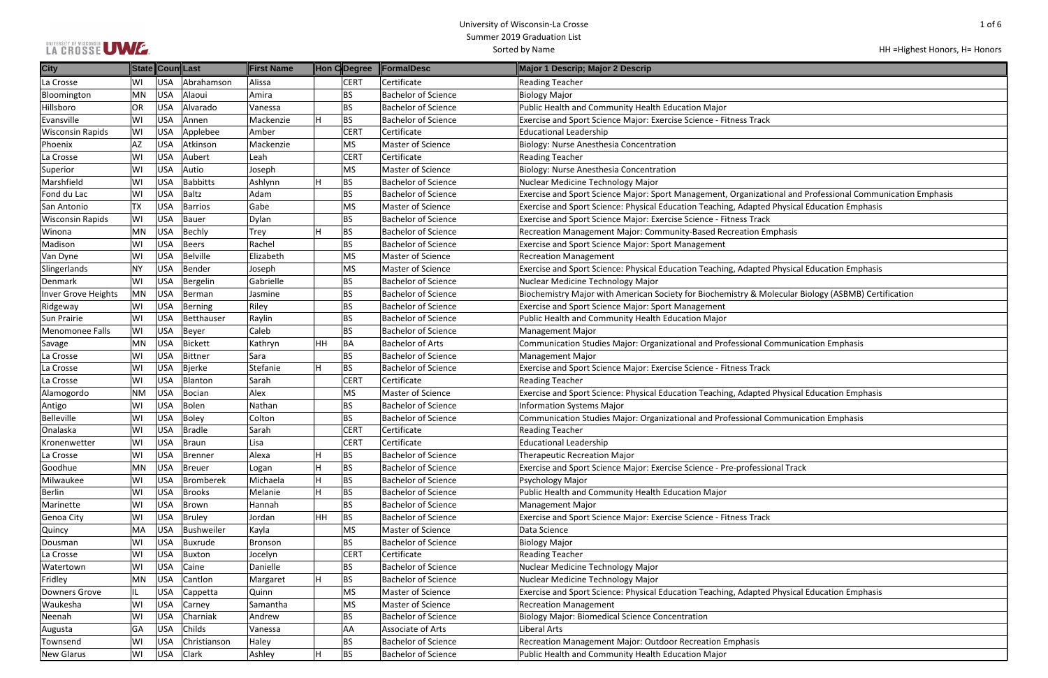# LA GROSSE UMZE

## HH =Highest Honors, H= Honors

| onal and Professional Communication Emphasis |
|----------------------------------------------|
| <b>Physical Education Emphasis</b>           |
|                                              |
| phasis                                       |
|                                              |
| <b>Physical Education Emphasis</b>           |
|                                              |
| lecular Biology (ASBMB) Certification        |
|                                              |
|                                              |
| <b>Immunication Emphasis</b>                 |
|                                              |
|                                              |
| <b>Physical Education Emphasis</b>           |
|                                              |
| <b>Immunication Emphasis</b>                 |
|                                              |
|                                              |
| nal Track                                    |
|                                              |
|                                              |
|                                              |
|                                              |
|                                              |
|                                              |
|                                              |
| <b>Physical Education Emphasis</b>           |
|                                              |
|                                              |
|                                              |
|                                              |
|                                              |

| <b>City</b>             |     | State Coun Last |              | <b>First Name</b> | Hon CDegree     | <b>FormalDesc</b>          | Major 1 Descrip; Major 2 Descrip                                                                           |
|-------------------------|-----|-----------------|--------------|-------------------|-----------------|----------------------------|------------------------------------------------------------------------------------------------------------|
| La Crosse               | W١  | USA             | Abrahamson   | Alissa            | <b>CERT</b>     | Certificate                | <b>Reading Teacher</b>                                                                                     |
| Bloomington             | MN  | USA             | Alaoui       | Amira             | <b>BS</b>       | <b>Bachelor of Science</b> | Biology Major                                                                                              |
| Hillsboro               | OR  | USA             | Alvarado     | Vanessa           | BS              | <b>Bachelor of Science</b> | Public Health and Community Health Education Major                                                         |
| Evansville              | WI  | <b>USA</b>      | Annen        | Mackenzie         | BS              | <b>Bachelor of Science</b> | Exercise and Sport Science Major: Exercise Science - Fitness Track                                         |
| <b>Wisconsin Rapids</b> | WI  | <b>USA</b>      | Applebee     | Amber             | <b>CERT</b>     | Certificate                | <b>Educational Leadership</b>                                                                              |
| Phoenix                 | AZ  | <b>USA</b>      | Atkinson     | Mackenzie         | <b>MS</b>       | Master of Science          | Biology: Nurse Anesthesia Concentration                                                                    |
| La Crosse               | WI  | USA             | Aubert       | Leah              | <b>CERT</b>     | Certificate                | <b>Reading Teacher</b>                                                                                     |
| Superior                | WI  | USA             | Autio        | Joseph            | <b>MS</b>       | Master of Science          | Biology: Nurse Anesthesia Concentration                                                                    |
| Marshfield              | WI  | <b>USA</b>      | Babbitts     | Ashlynn           | H<br><b>BS</b>  | <b>Bachelor of Science</b> | Nuclear Medicine Technology Major                                                                          |
| Fond du Lac             | WI  | <b>USA</b>      | Baltz        | Adam              | BS              | <b>Bachelor of Science</b> | Exercise and Sport Science Major: Sport Management, Organizational and Professional Communication Emphasis |
| San Antonio             | TX  | <b>USA</b>      | Barrios      | Gabe              | ΜS              | Master of Science          | Exercise and Sport Science: Physical Education Teaching, Adapted Physical Education Emphasis               |
| <b>Wisconsin Rapids</b> | WI  | <b>USA</b>      | Bauer        | Dylan             | <b>BS</b>       | <b>Bachelor of Science</b> | Exercise and Sport Science Major: Exercise Science - Fitness Track                                         |
| Winona                  | MN  | USA             | Bechly       | Trey              | <b>BS</b>       | <b>Bachelor of Science</b> | Recreation Management Major: Community-Based Recreation Emphasis                                           |
| Madison                 | WI  | USA             | Beers        | Rachel            | <b>BS</b>       | <b>Bachelor of Science</b> | <b>Exercise and Sport Science Major: Sport Management</b>                                                  |
| Van Dyne                | WI  | USA             | Belville     | Elizabeth         | <b>MS</b>       | <b>Master of Science</b>   | <b>Recreation Management</b>                                                                               |
| Slingerlands            | NΥ  | <b>USA</b>      | Bender       | Joseph            | <b>MS</b>       | Master of Science          | Exercise and Sport Science: Physical Education Teaching, Adapted Physical Education Emphasis               |
| Denmark                 | WI  | <b>USA</b>      | Bergelin     | Gabrielle         | BS              | <b>Bachelor of Science</b> | Nuclear Medicine Technology Major                                                                          |
| Inver Grove Heights     | MN  | USA             | Berman       | Jasmine           | <b>BS</b>       | Bachelor of Science        | Biochemistry Major with American Society for Biochemistry & Molecular Biology (ASBMB) Certification        |
| Ridgeway                | WI  | USA             | Berning      | Riley             | <b>BS</b>       | <b>Bachelor of Science</b> | <b>Exercise and Sport Science Major: Sport Management</b>                                                  |
| Sun Prairie             | WI  | USA             | Betthauser   | Raylin            | BS              | <b>Bachelor of Science</b> | Public Health and Community Health Education Major                                                         |
| Menomonee Falls         | WI  | <b>USA</b>      | Beyer        | Caleb             | <b>BS</b>       | <b>Bachelor of Science</b> | Management Major                                                                                           |
| Savage                  | MN  | USA             | Bickett      | Kathryn           | HН<br>BA        | <b>Bachelor of Arts</b>    | Communication Studies Major: Organizational and Professional Communication Emphasis                        |
| La Crosse               | WI  | <b>USA</b>      | Bittner      | Sara              | <b>BS</b>       | <b>Bachelor of Science</b> | <b>Management Major</b>                                                                                    |
| La Crosse               | WI  | <b>USA</b>      | Bjerke       | Stefanie          | <b>BS</b>       | <b>Bachelor of Science</b> | Exercise and Sport Science Major: Exercise Science - Fitness Track                                         |
| La Crosse               | WI  | USA             | Blanton      | Sarah             | <b>CERT</b>     | Certificate                | <b>Reading Teacher</b>                                                                                     |
| Alamogordo              | ΝM  | USA             | Bocian       | Alex              | <b>MS</b>       | Master of Science          | Exercise and Sport Science: Physical Education Teaching, Adapted Physical Education Emphasis               |
| Antigo                  | WI  | USA             | Bolen        | Nathan            | BS              | <b>Bachelor of Science</b> | <b>Information Systems Major</b>                                                                           |
| Belleville              | WI  | USA             | Boley        | Colton            | BS              | <b>Bachelor of Science</b> | Communication Studies Major: Organizational and Professional Communication Emphasis                        |
| Onalaska                | WI  | <b>USA</b>      | Bradle       | Sarah             | <b>CERT</b>     | Certificate                | <b>Reading Teacher</b>                                                                                     |
| Kronenwetter            | WI  | USA             | Braun        | Lisa              | <b>CERT</b>     | Certificate                | <b>Educational Leadership</b>                                                                              |
| La Crosse               | WI  | USA             | Brenner      | Alexa             | <b>BS</b><br>н  | <b>Bachelor of Science</b> | <b>Therapeutic Recreation Major</b>                                                                        |
| Goodhue                 | ΜN  | USA             | Breuer       | Logan             | <b>BS</b>       | <b>Bachelor of Science</b> | Exercise and Sport Science Major: Exercise Science - Pre-professional Track                                |
| Milwaukee               | WI  | USA             | Bromberek    | Michaela          | BS              | <b>Bachelor of Science</b> | Psychology Major                                                                                           |
| <b>Berlin</b>           | WI  | USA             | Brooks       | Melanie           | <b>BS</b>       | <b>Bachelor of Science</b> | Public Health and Community Health Education Major                                                         |
| Marinette               | WI  | USA             | Brown        | Hannah            | ВS              | <b>Bachelor of Science</b> | Management Major                                                                                           |
| Genoa City              | WI  | <b>USA</b>      | Bruley       | Jordan            | HH<br><b>BS</b> | <b>Bachelor of Science</b> | Exercise and Sport Science Major: Exercise Science - Fitness Track                                         |
| Quincy                  | MA  | USA             | Bushweiler   | Kayla             | <b>MS</b>       | Master of Science          | Data Science                                                                                               |
| Dousman                 | WI  | USA             | Buxrude      | Bronson           | BS              | <b>Bachelor of Science</b> | <b>Biology Major</b>                                                                                       |
| La Crosse               | WI  | USA             | Buxton       | Jocelyn           | <b>CERT</b>     | Certificate                | <b>Reading Teacher</b>                                                                                     |
| Watertown               | WI  | USA             | Caine        | Danielle          | BS              | <b>Bachelor of Science</b> | Nuclear Medicine Technology Major                                                                          |
| Fridley                 | ΜN  | USA             | Cantlon      | Margaret          | <b>BS</b>       | <b>Bachelor of Science</b> | Nuclear Medicine Technology Major                                                                          |
| Downers Grove           | IL. | USA             | Cappetta     | Quinn             | <b>MS</b>       | Master of Science          | Exercise and Sport Science: Physical Education Teaching, Adapted Physical Education Emphasis               |
| Waukesha                | WI  | USA             | Carney       | Samantha          | <b>MS</b>       | Master of Science          | <b>Recreation Management</b>                                                                               |
| Neenah                  | WI  | USA             | Charniak     | Andrew            | <b>BS</b>       | <b>Bachelor of Science</b> | <b>Biology Major: Biomedical Science Concentration</b>                                                     |
| Augusta                 | GA  | USA             | Childs       | Vanessa           | AA              | Associate of Arts          | Liberal Arts                                                                                               |
| Townsend                | WI  | USA             | Christianson | Haley             | BS              | <b>Bachelor of Science</b> | Recreation Management Major: Outdoor Recreation Emphasis                                                   |
| <b>New Glarus</b>       | WI  | USA             | <b>Clark</b> | Ashley            | <b>BS</b>       | <b>Bachelor of Science</b> | Public Health and Community Health Education Major                                                         |
|                         |     |                 |              |                   |                 |                            |                                                                                                            |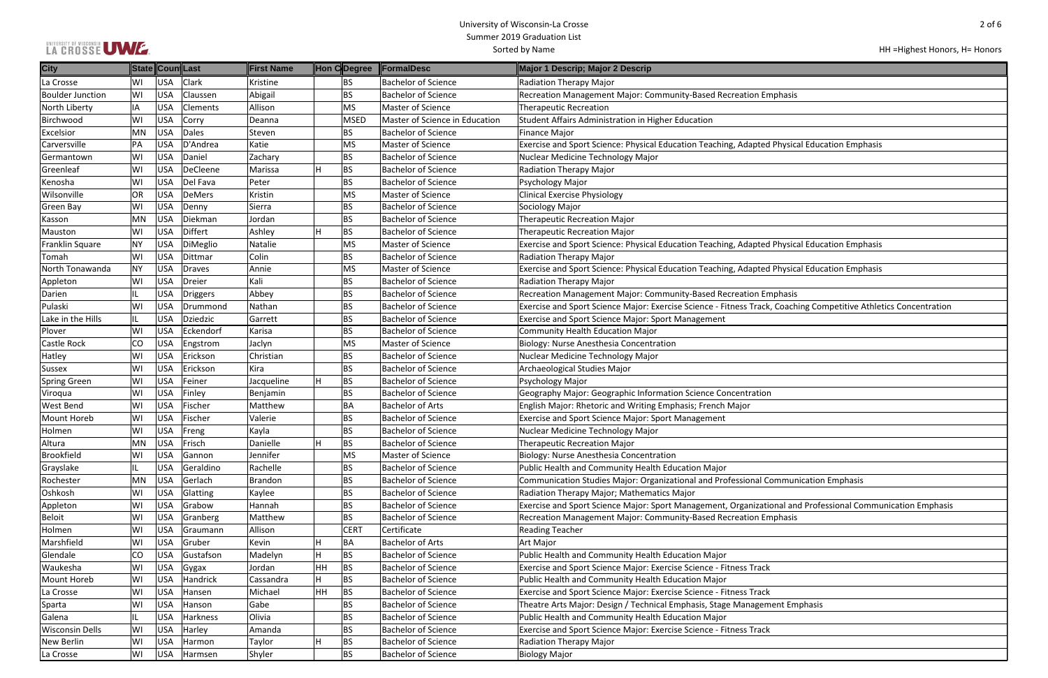## LA CROSSE UWE

| HH = Highest Honors, H = Honors |
|---------------------------------|
|---------------------------------|

| iphasis                                             |
|-----------------------------------------------------|
|                                                     |
|                                                     |
|                                                     |
|                                                     |
| <b>Physical Education Emphasis</b>                  |
|                                                     |
|                                                     |
|                                                     |
|                                                     |
|                                                     |
|                                                     |
|                                                     |
|                                                     |
|                                                     |
| <b>Physical Education Emphasis</b>                  |
|                                                     |
| <b>Physical Education Emphasis</b>                  |
|                                                     |
|                                                     |
| iphasis                                             |
| <b>Coaching Competitive Athletics Concentration</b> |
|                                                     |
|                                                     |
|                                                     |
|                                                     |
|                                                     |
|                                                     |
|                                                     |
|                                                     |
|                                                     |
|                                                     |
|                                                     |
|                                                     |
|                                                     |
|                                                     |
|                                                     |
| ommunication Emphasis                               |
|                                                     |
|                                                     |
| onal and Professional Communication Emphasis        |
| iphasis                                             |
|                                                     |
|                                                     |
|                                                     |
|                                                     |
|                                                     |
|                                                     |
|                                                     |
| ent Emphasis                                        |
|                                                     |
|                                                     |
|                                                     |
|                                                     |
|                                                     |

| <b>City</b>             |           | State Coun Last |                 | First Name     |    |                | Hon C Degree FormalDesc        | Major 1 Descrip; Major 2 Descrip                                                                                 |
|-------------------------|-----------|-----------------|-----------------|----------------|----|----------------|--------------------------------|------------------------------------------------------------------------------------------------------------------|
| La Crosse               | WI        | <b>USA</b>      | <b>Clark</b>    | Kristine       |    | BS             | <b>Bachelor of Science</b>     | <b>Radiation Therapy Major</b>                                                                                   |
| <b>Boulder Junction</b> | WI        | <b>USA</b>      | Claussen        | Abigail        |    | BS             | <b>Bachelor of Science</b>     | Recreation Management Major: Community-Based Recreation Emphasis                                                 |
| North Liberty           | IA        | <b>USA</b>      | <b>Clements</b> | Allison        |    | MS             | Master of Science              | <b>Therapeutic Recreation</b>                                                                                    |
| Birchwood               | WI        | <b>USA</b>      | <b>Corry</b>    | Deanna         |    | MSED           | Master of Science in Education | Student Affairs Administration in Higher Education                                                               |
| Excelsior               | MN        | <b>USA</b>      | Dales           | Steven         |    | BS             | <b>Bachelor of Science</b>     | <b>Finance Major</b>                                                                                             |
| Carversville            | PA        | <b>USA</b>      | D'Andrea        | Katie          |    | MS <sup></sup> | Master of Science              | Exercise and Sport Science: Physical Education Teaching, Adapted Physical Education Emphasis                     |
| Germantown              | WI        | <b>USA</b>      | Daniel          | Zachary        |    | BS             | <b>Bachelor of Science</b>     | Nuclear Medicine Technology Major                                                                                |
| Greenleaf               | WI        | <b>USA</b>      | DeCleene        | Marissa        |    | BS             | <b>Bachelor of Science</b>     | Radiation Therapy Major                                                                                          |
| Kenosha                 | WI        | <b>USA</b>      | Del Fava        | Peter          |    | BS             | <b>Bachelor of Science</b>     | Psychology Major                                                                                                 |
| Wilsonville             | OR        | <b>USA</b>      | DeMers          | Kristin        |    | MS             | Master of Science              | <b>Clinical Exercise Physiology</b>                                                                              |
| <b>Green Bay</b>        | WI        | <b>USA</b>      | Denny           | Sierra         |    | <b>BS</b>      | <b>Bachelor of Science</b>     | Sociology Major                                                                                                  |
| Kasson                  | MN        | <b>USA</b>      | Diekman         | Jordan         |    | BS             | <b>Bachelor of Science</b>     | <b>Therapeutic Recreation Major</b>                                                                              |
| Mauston                 | WI        | <b>USA</b>      | Differt         | Ashley         |    | BS             | <b>Bachelor of Science</b>     | <b>Therapeutic Recreation Major</b>                                                                              |
| <b>Franklin Square</b>  | <b>NY</b> | <b>USA</b>      | DiMeglio        | Natalie        |    | MS             | Master of Science              | Exercise and Sport Science: Physical Education Teaching, Adapted Physical Education Emphasis                     |
| Tomah                   | WI        | <b>USA</b>      | Dittmar         | Colin          |    | BS             | <b>Bachelor of Science</b>     | Radiation Therapy Major                                                                                          |
| North Tonawanda         | <b>NY</b> | <b>USA</b>      | Draves          | Annie          |    | <b>MS</b>      | Master of Science              | Exercise and Sport Science: Physical Education Teaching, Adapted Physical Education Emphasis                     |
|                         | WI        | <b>USA</b>      | Dreier          | Kali           |    | <b>BS</b>      | <b>Bachelor of Science</b>     |                                                                                                                  |
| Appleton                |           | <b>USA</b>      |                 |                |    | BS             | <b>Bachelor of Science</b>     | Radiation Therapy Major<br>Recreation Management Major: Community-Based Recreation Emphasis                      |
| Darien                  |           |                 | Driggers        | Abbey          |    |                |                                |                                                                                                                  |
| Pulaski                 | WI        | <b>USA</b>      | Drummond        | Nathan         |    | BS             | <b>Bachelor of Science</b>     | Exercise and Sport Science Major: Exercise Science - Fitness Track, Coaching Competitive Athletics Concentration |
| Lake in the Hills       | IL        | <b>USA</b>      | Dziedzic        | Garrett        |    | <b>BS</b>      | <b>Bachelor of Science</b>     | <b>Exercise and Sport Science Major: Sport Management</b>                                                        |
| Plover                  | WI        | <b>USA</b>      | Eckendorf       | Karisa         |    | <b>BS</b>      | <b>Bachelor of Science</b>     | <b>Community Health Education Major</b>                                                                          |
| Castle Rock             | CO        | <b>USA</b>      | Engstrom        | Jaclyn         |    | MS             | Master of Science              | Biology: Nurse Anesthesia Concentration                                                                          |
| Hatley                  | WI        | <b>USA</b>      | Erickson        | Christian      |    | <b>BS</b>      | <b>Bachelor of Science</b>     | Nuclear Medicine Technology Major                                                                                |
| <b>Sussex</b>           | WI        | <b>USA</b>      | Erickson        | Kira           |    | BS             | <b>Bachelor of Science</b>     | Archaeological Studies Major                                                                                     |
| <b>Spring Green</b>     | WI        | <b>USA</b>      | Feiner          | Jacqueline     |    | BS             | <b>Bachelor of Science</b>     | Psychology Major                                                                                                 |
| Viroqua                 | WI        | <b>USA</b>      | Finley          | Benjamin       |    | BS             | <b>Bachelor of Science</b>     | Geography Major: Geographic Information Science Concentration                                                    |
| West Bend               | WI        | <b>USA</b>      | Fischer         | Matthew        |    | BA             | <b>Bachelor of Arts</b>        | English Major: Rhetoric and Writing Emphasis; French Major                                                       |
| Mount Horeb             | WI        | <b>USA</b>      | Fischer         | Valerie        |    | <b>BS</b>      | <b>Bachelor of Science</b>     | Exercise and Sport Science Major: Sport Management                                                               |
| Holmen                  | WI        | <b>USA</b>      | Freng           | Kayla          |    | <b>BS</b>      | <b>Bachelor of Science</b>     | Nuclear Medicine Technology Major                                                                                |
| Altura                  | MN        | <b>USA</b>      | Frisch          | Danielle       |    | BS             | <b>Bachelor of Science</b>     | <b>Therapeutic Recreation Major</b>                                                                              |
| Brookfield              | WI        | <b>USA</b>      | Gannon          | Jennifer       |    | MS <sup></sup> | Master of Science              | Biology: Nurse Anesthesia Concentration                                                                          |
| Grayslake               |           | <b>USA</b>      | Geraldino       | Rachelle       |    | BS             | <b>Bachelor of Science</b>     | Public Health and Community Health Education Major                                                               |
| Rochester               | MN        | <b>USA</b>      | Gerlach         | <b>Brandon</b> |    | BS             | <b>Bachelor of Science</b>     | Communication Studies Major: Organizational and Professional Communication Emphasis                              |
| Oshkosh                 | WI        | <b>USA</b>      | Glatting        | Kaylee         |    | BS             | <b>Bachelor of Science</b>     | Radiation Therapy Major; Mathematics Major                                                                       |
| Appleton                | WI        | <b>USA</b>      | Grabow          | Hannah         |    | <b>BS</b>      | <b>Bachelor of Science</b>     | Exercise and Sport Science Major: Sport Management, Organizational and Professional Communication Emphasis       |
| <b>Beloit</b>           | WI        | <b>USA</b>      | Granberg        | Matthew        |    | BS             | <b>Bachelor of Science</b>     | Recreation Management Major: Community-Based Recreation Emphasis                                                 |
| Holmen                  | WI        | <b>USA</b>      | Graumann        | Allison        |    | <b>CERT</b>    | Certificate                    | <b>Reading Teacher</b>                                                                                           |
| Marshfield              | WI        | <b>USA</b>      | Gruber          | Kevin          |    | BA             | <b>Bachelor of Arts</b>        | Art Major                                                                                                        |
| Glendale                | CO        | <b>USA</b>      | Gustafson       | Madelyn        |    | BS             | <b>Bachelor of Science</b>     | Public Health and Community Health Education Major                                                               |
| Waukesha                | WI        | <b>USA</b>      | Gygax           | Jordan         | HH | BS             | <b>Bachelor of Science</b>     | Exercise and Sport Science Major: Exercise Science - Fitness Track                                               |
| Mount Horeb             | WI        | <b>USA</b>      | Handrick        | Cassandra      |    | BS             | <b>Bachelor of Science</b>     | Public Health and Community Health Education Major                                                               |
| La Crosse               | WI        | <b>USA</b>      | Hansen          | Michael        | HH | <b>BS</b>      | <b>Bachelor of Science</b>     | Exercise and Sport Science Major: Exercise Science - Fitness Track                                               |
| Sparta                  | WI        | <b>USA</b>      | Hanson          | Gabe           |    | BS             | <b>Bachelor of Science</b>     | Theatre Arts Major: Design / Technical Emphasis, Stage Management Emphasis                                       |
| Galena                  | IL        | <b>USA</b>      | Harkness        | Olivia         |    | BS             | <b>Bachelor of Science</b>     | Public Health and Community Health Education Major                                                               |
| <b>Wisconsin Dells</b>  | WI        | <b>USA</b>      | Harley          | Amanda         |    | BS             | <b>Bachelor of Science</b>     | Exercise and Sport Science Major: Exercise Science - Fitness Track                                               |
| New Berlin              | WI        | <b>USA</b>      | Harmon          | Taylor         |    | BS             | <b>Bachelor of Science</b>     | Radiation Therapy Major                                                                                          |
| La Crosse               | WI        | <b>USA</b>      | Harmsen         | Shyler         |    | BS             | <b>Bachelor of Science</b>     | <b>Biology Major</b>                                                                                             |
|                         |           |                 |                 |                |    |                |                                |                                                                                                                  |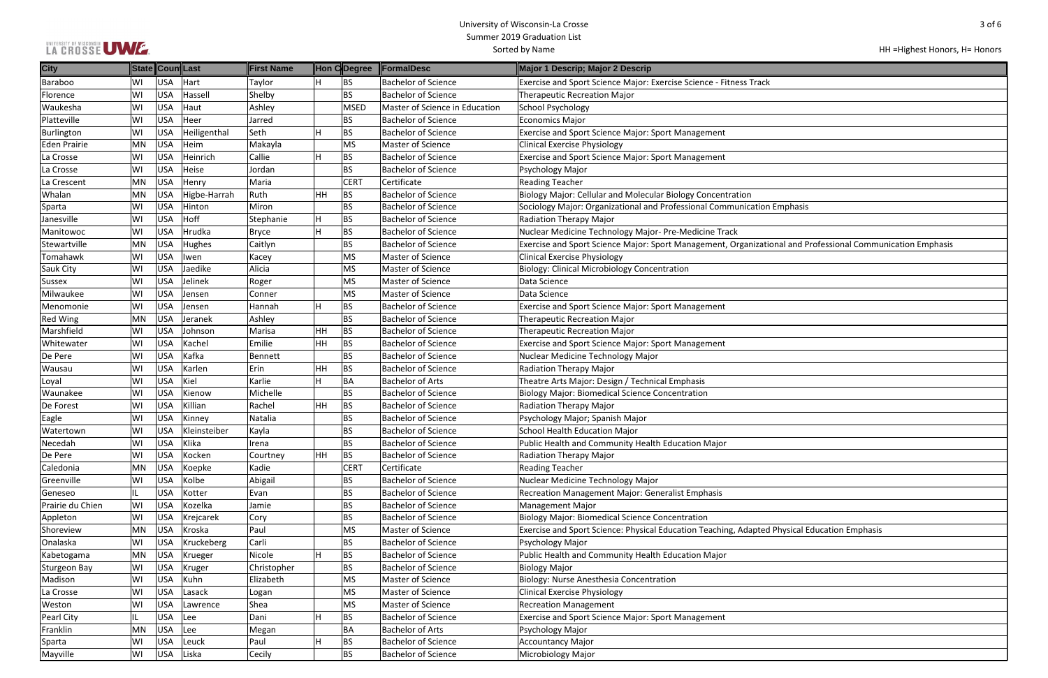## LA CROSSE UWE

| $3$ of $6$                            |
|---------------------------------------|
|                                       |
| HH = Highest Honors, H = Honors       |
|                                       |
|                                       |
|                                       |
|                                       |
|                                       |
|                                       |
|                                       |
|                                       |
|                                       |
| sis                                   |
|                                       |
| d Professional Communication Emphasis |
|                                       |
|                                       |
|                                       |
|                                       |
|                                       |
|                                       |
|                                       |
|                                       |
|                                       |
|                                       |
|                                       |
|                                       |
|                                       |
|                                       |
|                                       |
|                                       |
|                                       |
|                                       |
| al Education Emphasis                 |
|                                       |
|                                       |
|                                       |
|                                       |

#### HH =Highest Honors, H= Honors

| <b>City</b>         |           |            | State Coun Last | First Name   |           | Hon CDegree | <b>FormalDesc</b>              | Major 1 Descrip; Major 2 Descrip                                                                           |
|---------------------|-----------|------------|-----------------|--------------|-----------|-------------|--------------------------------|------------------------------------------------------------------------------------------------------------|
| <b>Baraboo</b>      | W١        | <b>USA</b> | Hart            | Taylor       |           | BS          | <b>Bachelor of Science</b>     | Exercise and Sport Science Major: Exercise Science - Fitness Track                                         |
| Florence            | W١        | <b>USA</b> | Hassel          | Shelby       |           | <b>BS</b>   | <b>Bachelor of Science</b>     | <b>Therapeutic Recreation Major</b>                                                                        |
| Waukesha            | W١        | <b>USA</b> | Haut            | Ashley       |           | MSED        | Master of Science in Education | <b>School Psychology</b>                                                                                   |
| Platteville         | W١        | <b>USA</b> | Heer            | Jarred       |           | <b>BS</b>   | <b>Bachelor of Science</b>     | Economics Major                                                                                            |
| Burlington          | WI        | <b>USA</b> | Heiligenthal    | Seth         | H.        | BS          | <b>Bachelor of Science</b>     | <b>Exercise and Sport Science Major: Sport Management</b>                                                  |
| <b>Eden Prairie</b> | <b>MN</b> | <b>USA</b> | Heim            | Makayla      |           | MS          | Master of Science              | <b>Clinical Exercise Physiology</b>                                                                        |
| La Crosse           | WI        | <b>USA</b> | Heinrich        | Callie       | H.        | BS          | <b>Bachelor of Science</b>     | <b>Exercise and Sport Science Major: Sport Management</b>                                                  |
| La Crosse           | W١        | <b>USA</b> | Heise           | Jordan       |           | BS          | <b>Bachelor of Science</b>     | Psychology Major                                                                                           |
| La Crescent         | MN        | <b>USA</b> | Henry           | Maria        |           | <b>CERT</b> | Certificate                    | <b>Reading Teacher</b>                                                                                     |
| Whalan              | MN        | <b>USA</b> | Higbe-Harrah    | Ruth         | <b>HH</b> | BS          | <b>Bachelor of Science</b>     | Biology Major: Cellular and Molecular Biology Concentration                                                |
| Sparta              | W١        | <b>USA</b> | Hinton          | Miron        |           | BS          | <b>Bachelor of Science</b>     | Sociology Major: Organizational and Professional Communication Emphasis                                    |
| Janesville          | WI        | <b>USA</b> | Hoff            | Stephanie    | H         | BS          | <b>Bachelor of Science</b>     | Radiation Therapy Major                                                                                    |
| Manitowoc           | WI        | <b>USA</b> | Hrudka          | <b>Bryce</b> | Н.        | BS          | Bachelor of Science            | Nuclear Medicine Technology Major- Pre-Medicine Track                                                      |
| Stewartville        | MN        | <b>USA</b> | Hughes          | Caitlyn      |           | BS          | <b>Bachelor of Science</b>     | Exercise and Sport Science Major: Sport Management, Organizational and Professional Communication Emphasis |
| Tomahawk            | WI        | <b>USA</b> | <b>Iwen</b>     | Kacey        |           | MS          | Master of Science              | <b>Clinical Exercise Physiology</b>                                                                        |
| Sauk City           | W١        | <b>USA</b> | Jaedike         | Alicia       |           | MS          | Master of Science              | <b>Biology: Clinical Microbiology Concentration</b>                                                        |
| <b>Sussex</b>       | W١        | <b>USA</b> | Jelinek         | Roger        |           | MS          | Master of Science              | Data Science                                                                                               |
| Milwaukee           | WI        | <b>USA</b> | Jensen          | Conner       |           | MS          | Master of Science              | Data Science                                                                                               |
| Menomonie           | WI        | <b>USA</b> | Jensen          | Hannah       | H.        | BS          | <b>Bachelor of Science</b>     | <b>Exercise and Sport Science Major: Sport Management</b>                                                  |
| <b>Red Wing</b>     | MN        | <b>USA</b> | Jeranek         | Ashley       |           | BS          | <b>Bachelor of Science</b>     | <b>Therapeutic Recreation Major</b>                                                                        |
| Marshfield          | W١        | <b>USA</b> | Johnson         | Marisa       | HH        | BS          | <b>Bachelor of Science</b>     | <b>Therapeutic Recreation Major</b>                                                                        |
| Whitewater          | W١        | <b>USA</b> | Kachel          | Emilie       | <b>HH</b> | BS          | <b>Bachelor of Science</b>     | Exercise and Sport Science Major: Sport Management                                                         |
| De Pere             | W١        | <b>USA</b> | Kafka           | Bennett      |           | <b>BS</b>   | <b>Bachelor of Science</b>     | Nuclear Medicine Technology Major                                                                          |
| Wausau              | WI        | <b>USA</b> | Karlen          | Erin         | HH        | BS          | <b>Bachelor of Science</b>     | Radiation Therapy Major                                                                                    |
| Loyal               | WI        | <b>USA</b> | Kiel            | Karlie       | H.        | BA          | <b>Bachelor of Arts</b>        | Theatre Arts Major: Design / Technical Emphasis                                                            |
| Waunakee            | WI        | <b>USA</b> | Kienow          | Michelle     |           | BS          | <b>Bachelor of Science</b>     | <b>Biology Major: Biomedical Science Concentration</b>                                                     |
| De Forest           | W١        | <b>USA</b> | Killian         | Rachel       | <b>HH</b> | BS          | <b>Bachelor of Science</b>     | Radiation Therapy Major                                                                                    |
| Eagle               | W١        | <b>USA</b> | Kinney          | Natalia      |           | <b>BS</b>   | <b>Bachelor of Science</b>     | Psychology Major; Spanish Major                                                                            |
| Watertown           | WI        | <b>USA</b> | Kleinsteiber    | Kayla        |           | <b>BS</b>   | <b>Bachelor of Science</b>     | <b>School Health Education Major</b>                                                                       |
| Necedah             | WI        | <b>USA</b> | Klika           | Irena        |           | BS          | <b>Bachelor of Science</b>     | Public Health and Community Health Education Major                                                         |
| De Pere             | WI        | <b>USA</b> | Kocken          | Courtney     | HH.       | BS          | <b>Bachelor of Science</b>     | Radiation Therapy Major                                                                                    |
| Caledonia           | MN        | <b>USA</b> | Koepke          | Kadie        |           | <b>CERT</b> | Certificate                    | <b>Reading Teacher</b>                                                                                     |
| Greenville          | WI        | <b>USA</b> | Kolbe           | Abigail      |           | <b>BS</b>   | <b>Bachelor of Science</b>     | Nuclear Medicine Technology Major                                                                          |
| Geneseo             |           | <b>USA</b> | Kotter          | Evan         |           | <b>BS</b>   | <b>Bachelor of Science</b>     | Recreation Management Major: Generalist Emphasis                                                           |
| Prairie du Chien    | WI        | <b>USA</b> | Kozelka         | Jamie        |           | <b>BS</b>   | <b>Bachelor of Science</b>     | Management Major                                                                                           |
| Appleton            | WI        | <b>USA</b> | Krejcarek       | Cory         |           | <b>BS</b>   | <b>Bachelor of Science</b>     | <b>Biology Major: Biomedical Science Concentration</b>                                                     |
| Shoreview           | MN        | <b>USA</b> | Kroska          | Paul         |           | MS          | Master of Science              | Exercise and Sport Science: Physical Education Teaching, Adapted Physical Education Emphasis               |
| Onalaska            | WI        | <b>USA</b> | Kruckeberg      | Carli        |           | BS          | <b>Bachelor of Science</b>     | Psychology Major                                                                                           |
| Kabetogama          | <b>MN</b> | <b>USA</b> | Krueger         | Nicole       | Н.        | BS          | <b>Bachelor of Science</b>     | Public Health and Community Health Education Major                                                         |
| Sturgeon Bay        | WI        | <b>USA</b> | Kruger          | Christopher  |           | BS          | <b>Bachelor of Science</b>     | <b>Biology Major</b>                                                                                       |
| Madison             | WI        | <b>USA</b> | Kuhn            | Elizabeth    |           | MS          | Master of Science              | Biology: Nurse Anesthesia Concentration                                                                    |
| La Crosse           | WI        | <b>USA</b> | Lasack          | Logan        |           | MS          | Master of Science              | <b>Clinical Exercise Physiology</b>                                                                        |
| Weston              | WI        | <b>USA</b> | Lawrence        | Shea         |           | MS          | Master of Science              | <b>Recreation Management</b>                                                                               |
| Pearl City          |           | <b>USA</b> | Lee             | Dani         | Н.        | BS          | Bachelor of Science            | <b>Exercise and Sport Science Major: Sport Management</b>                                                  |
| Franklin            | MN        | <b>USA</b> | Lee             | Megan        |           | <b>BA</b>   | <b>Bachelor of Arts</b>        | Psychology Major                                                                                           |
| Sparta              | WI        | <b>USA</b> | Leuck           | Paul         |           | BS          | <b>Bachelor of Science</b>     | <b>Accountancy Major</b>                                                                                   |
| Mayville            | WI        | <b>USA</b> | Liska           | Cecily       |           | BS          | <b>Bachelor of Science</b>     | Microbiology Major                                                                                         |
|                     |           |            |                 |              |           |             |                                |                                                                                                            |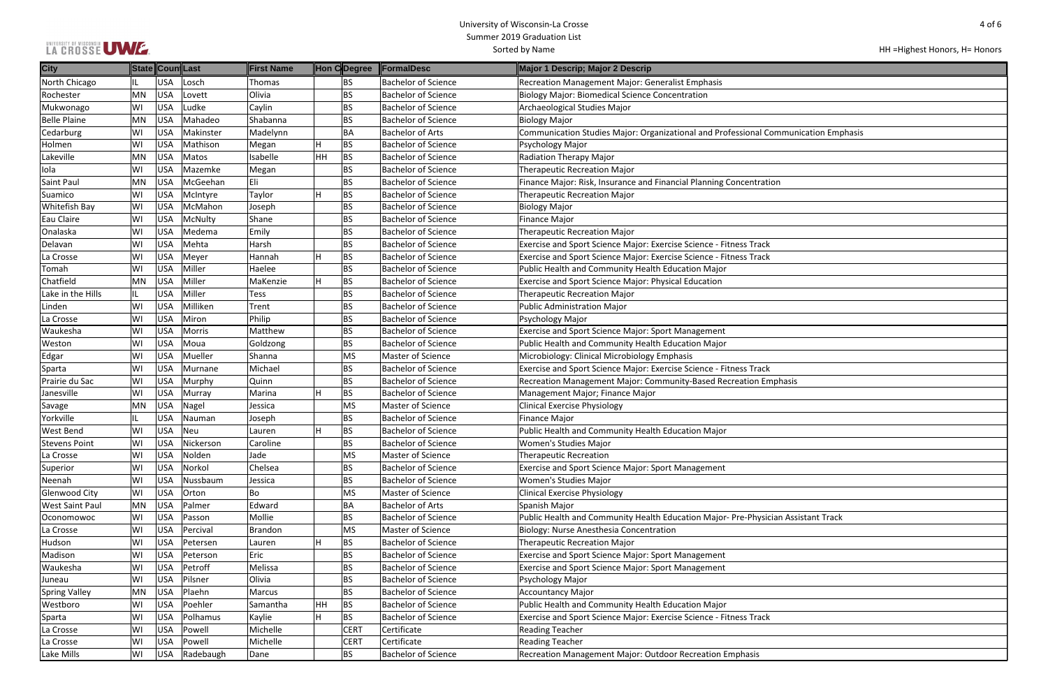## LA CROSSE UWE

| HH = Highest Honors, H = Honors |
|---------------------------------|
|---------------------------------|

| ommunication Emphasis |  |
|-----------------------|--|
|                       |  |
|                       |  |
|                       |  |
|                       |  |
| on                    |  |
|                       |  |
|                       |  |
|                       |  |
|                       |  |
|                       |  |
|                       |  |
|                       |  |
|                       |  |
|                       |  |
|                       |  |
|                       |  |
|                       |  |
|                       |  |
|                       |  |
|                       |  |
|                       |  |
|                       |  |
|                       |  |
|                       |  |
| nphasis               |  |
|                       |  |
|                       |  |
|                       |  |
|                       |  |
|                       |  |
|                       |  |
|                       |  |
|                       |  |
|                       |  |
|                       |  |
|                       |  |
|                       |  |
|                       |  |
| cian Assistant Track  |  |
|                       |  |
|                       |  |
|                       |  |
|                       |  |
|                       |  |
|                       |  |
|                       |  |
|                       |  |
|                       |  |
|                       |  |
|                       |  |
|                       |  |
|                       |  |
|                       |  |

| <b>City</b>            | State Coun Last |            |           | First Name |           | Hon CDegree | <b>FormalDesc</b>          | Major 1 Descrip; Major 2 Descrip                                                    |
|------------------------|-----------------|------------|-----------|------------|-----------|-------------|----------------------------|-------------------------------------------------------------------------------------|
| North Chicago          | IL.             | USA        | Losch     | Thomas     |           | <b>BS</b>   | <b>Bachelor of Science</b> | Recreation Management Major: Generalist Emphasis                                    |
| Rochester              | MN              | USA        | Lovett    | Olivia     |           | <b>BS</b>   | <b>Bachelor of Science</b> | <b>Biology Major: Biomedical Science Concentration</b>                              |
| Mukwonago              | WI              | USA        | udke      | Caylin     |           | <b>BS</b>   | <b>Bachelor of Science</b> | Archaeological Studies Major                                                        |
| <b>Belle Plaine</b>    | MN              | USA        | Mahadeo   | Shabanna   |           | <b>BS</b>   | <b>Bachelor of Science</b> | <b>Biology Major</b>                                                                |
| Cedarburg              | WI              | USA        | Makinster | Madelynn   |           | BA          | <b>Bachelor of Arts</b>    | Communication Studies Major: Organizational and Professional Communication Emphasis |
| Holmen                 | WI              | USA        | Mathison  | Megan      |           | BS          | <b>Bachelor of Science</b> | Psychology Major                                                                    |
| Lakeville              | MN              | USA        | Matos     | Isabelle   | <b>HH</b> | BS          | <b>Bachelor of Science</b> | Radiation Therapy Major                                                             |
| Iola                   | WI              | USA        | Mazemke   | Megan      |           | <b>BS</b>   | <b>Bachelor of Science</b> | <b>Therapeutic Recreation Major</b>                                                 |
| Saint Paul             | MN              | USA        | McGeehan  | Eli        |           | <b>BS</b>   | <b>Bachelor of Science</b> | Finance Major: Risk, Insurance and Financial Planning Concentration                 |
| Suamico                | WI              | USA        | McIntyre  | Taylor     |           | <b>BS</b>   | <b>Bachelor of Science</b> | <b>Therapeutic Recreation Major</b>                                                 |
| Whitefish Bay          | WI              | USA        | McMahon   | Joseph     |           | <b>BS</b>   | <b>Bachelor of Science</b> | <b>Biology Major</b>                                                                |
| Eau Claire             | WI              | USA        | McNulty   | Shane      |           | <b>BS</b>   | <b>Bachelor of Science</b> | <b>Finance Major</b>                                                                |
| Onalaska               | WI              | USA        | Medema    | Emily      |           | <b>BS</b>   | <b>Bachelor of Science</b> | <b>Therapeutic Recreation Major</b>                                                 |
| Delavan                | WI              | USA        | Mehta     | Harsh      |           | <b>BS</b>   | <b>Bachelor of Science</b> | Exercise and Sport Science Major: Exercise Science - Fitness Track                  |
| La Crosse              | WI              | USA        | Meyer     | Hannah     |           | BS          | <b>Bachelor of Science</b> | Exercise and Sport Science Major: Exercise Science - Fitness Track                  |
| Tomah                  | WI              | USA        | Miller    | Haelee     |           | BS          | Bachelor of Science        | Public Health and Community Health Education Major                                  |
| Chatfield              | <b>MN</b>       | USA        | Miller    | MaKenzie   |           | <b>BS</b>   | <b>Bachelor of Science</b> | <b>Exercise and Sport Science Major: Physical Education</b>                         |
| Lake in the Hills      | IL.             | USA        | Miller    | Tess       |           | <b>BS</b>   | <b>Bachelor of Science</b> | <b>Therapeutic Recreation Major</b>                                                 |
| Linden                 | WI              | USA        | Milliken  | Trent      |           | <b>BS</b>   | <b>Bachelor of Science</b> | <b>Public Administration Major</b>                                                  |
| La Crosse              | WI              | USA        | Miron     | Philip     |           | <b>BS</b>   | <b>Bachelor of Science</b> | Psychology Major                                                                    |
| Waukesha               | WI              | USA        | Morris    | Matthew    |           | <b>BS</b>   | <b>Bachelor of Science</b> | <b>Exercise and Sport Science Major: Sport Management</b>                           |
| Weston                 | WI              | USA        | Moua      | Goldzong   |           | <b>BS</b>   | <b>Bachelor of Science</b> | Public Health and Community Health Education Major                                  |
| Edgar                  | WI              | USA        | Mueller   | Shanna     |           | <b>MS</b>   | Master of Science          | Microbiology: Clinical Microbiology Emphasis                                        |
| Sparta                 | WI              | USA        | Murnane   | Michael    |           | <b>BS</b>   | <b>Bachelor of Science</b> | Exercise and Sport Science Major: Exercise Science - Fitness Track                  |
| Prairie du Sac         | WI              | USA        | Murphy    | Quinn      |           | BS          | <b>Bachelor of Science</b> | Recreation Management Major: Community-Based Recreation Emphasis                    |
| Janesville             | WI              | USA        | Murray    | Marina     |           | <b>BS</b>   | <b>Bachelor of Science</b> | Management Major; Finance Major                                                     |
| Savage                 | <b>MN</b>       | USA        | Nagel     | Jessica    |           | <b>MS</b>   | Master of Science          | <b>Clinical Exercise Physiology</b>                                                 |
| Yorkville              | IL.             | USA        | Nauman    | Joseph     |           | <b>BS</b>   | <b>Bachelor of Science</b> | <b>Finance Major</b>                                                                |
| West Bend              | WI              | USA        | Neu       | Lauren     |           | <b>BS</b>   | <b>Bachelor of Science</b> | Public Health and Community Health Education Major                                  |
| <b>Stevens Point</b>   | WI              | <b>USA</b> | Nickerson | Caroline   |           | <b>BS</b>   | <b>Bachelor of Science</b> | <b>Women's Studies Major</b>                                                        |
| La Crosse              | WI              | USA        | Nolden    | Jade       |           | MS          | Master of Science          | <b>Therapeutic Recreation</b>                                                       |
| Superior               | WI              | USA        | Norkol    | Chelsea    |           | <b>BS</b>   | <b>Bachelor of Science</b> | <b>Exercise and Sport Science Major: Sport Management</b>                           |
| Neenah                 | WI              | USA        | Nussbaum  | Jessica    |           | <b>BS</b>   | <b>Bachelor of Science</b> | Women's Studies Major                                                               |
| Glenwood City          | WI              | USA        | Orton     | Bo         |           | <b>MS</b>   | Master of Science          | <b>Clinical Exercise Physiology</b>                                                 |
| <b>West Saint Paul</b> | MN              | USA        | Palmer    | Edward     |           | <b>BA</b>   | <b>Bachelor of Arts</b>    | Spanish Major                                                                       |
| Oconomowoc             | WI              | USA        | Passon    | Mollie     |           | <b>BS</b>   | <b>Bachelor of Science</b> | Public Health and Community Health Education Major-Pre-Physician Assistant Track    |
| La Crosse              | WI              | USA        | Percival  | Brandon    |           | <b>MS</b>   | Master of Science          | Biology: Nurse Anesthesia Concentration                                             |
| Hudson                 | WI              | USA        | Petersen  | Lauren     |           | BS          | <b>Bachelor of Science</b> | <b>Therapeutic Recreation Major</b>                                                 |
| Madison                | WI              | USA        | Peterson  | Eric       |           | <b>BS</b>   | <b>Bachelor of Science</b> | <b>Exercise and Sport Science Major: Sport Management</b>                           |
| Waukesha               | WI              | USA        | Petroff   | Melissa    |           | BS          | <b>Bachelor of Science</b> | <b>Exercise and Sport Science Major: Sport Management</b>                           |
| Juneau                 | WI              | USA        | Pilsner   | Olivia     |           | <b>BS</b>   | <b>Bachelor of Science</b> | Psychology Major                                                                    |
| <b>Spring Valley</b>   | MN              | USA        | Plaehn    | Marcus     |           | <b>BS</b>   | <b>Bachelor of Science</b> | <b>Accountancy Major</b>                                                            |
| Westboro               | WI              | USA        | Poehler   | Samantha   | <b>HH</b> | BS          | <b>Bachelor of Science</b> | Public Health and Community Health Education Major                                  |
| Sparta                 | WI              | USA        | Polhamus  | Kaylie     | н         | BS          | <b>Bachelor of Science</b> | Exercise and Sport Science Major: Exercise Science - Fitness Track                  |
| La Crosse              | WI              | USA        | Powell    | Michelle   |           | <b>CERT</b> | Certificate                | <b>Reading Teacher</b>                                                              |
| La Crosse              | WI              | USA        | Powell    | Michelle   |           | <b>CERT</b> | Certificate                | <b>Reading Teacher</b>                                                              |
| Lake Mills             | WI              | USA        | Radebaugh | Dane       |           | <b>BS</b>   | <b>Bachelor of Science</b> | Recreation Management Major: Outdoor Recreation Emphasis                            |
|                        |                 |            |           |            |           |             |                            |                                                                                     |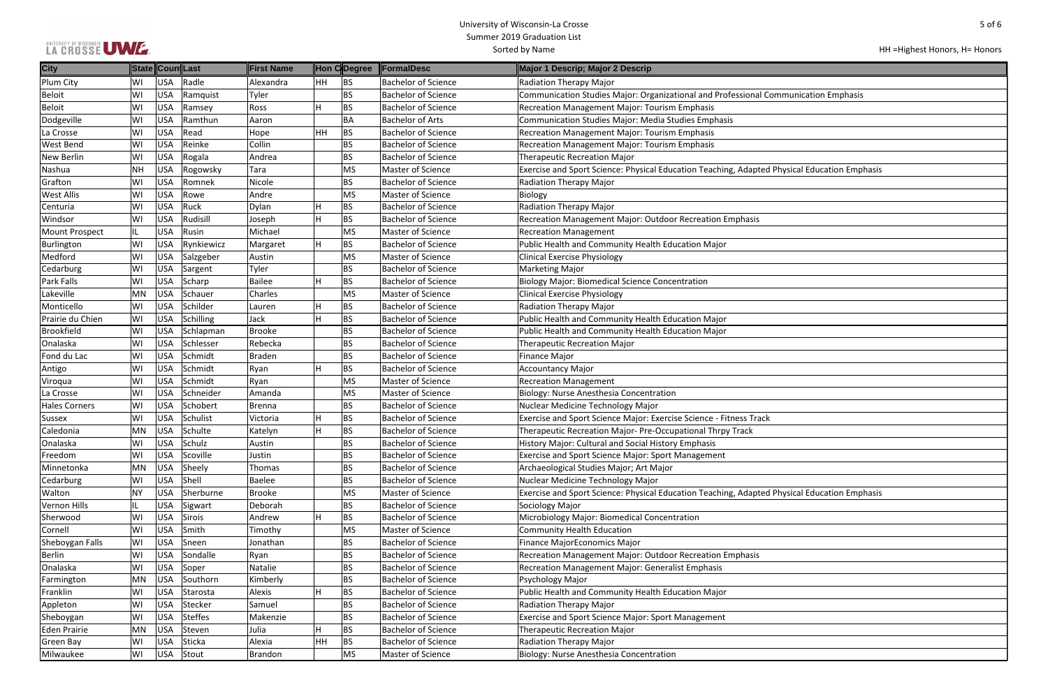| LA CROSSE UWE. |  |
|----------------|--|
|----------------|--|

| ommunication Emphasis<br><b>Physical Education Emphasis</b><br><b>Physical Education Emphasis</b> |  |
|---------------------------------------------------------------------------------------------------|--|
|                                                                                                   |  |
|                                                                                                   |  |
|                                                                                                   |  |
|                                                                                                   |  |
|                                                                                                   |  |
|                                                                                                   |  |
|                                                                                                   |  |
|                                                                                                   |  |
|                                                                                                   |  |
|                                                                                                   |  |
|                                                                                                   |  |
|                                                                                                   |  |
|                                                                                                   |  |
|                                                                                                   |  |
|                                                                                                   |  |
|                                                                                                   |  |
|                                                                                                   |  |
|                                                                                                   |  |
|                                                                                                   |  |
|                                                                                                   |  |
|                                                                                                   |  |
|                                                                                                   |  |
|                                                                                                   |  |
|                                                                                                   |  |
|                                                                                                   |  |
|                                                                                                   |  |
|                                                                                                   |  |
|                                                                                                   |  |
|                                                                                                   |  |
|                                                                                                   |  |
|                                                                                                   |  |
|                                                                                                   |  |
|                                                                                                   |  |
|                                                                                                   |  |
|                                                                                                   |  |
|                                                                                                   |  |
|                                                                                                   |  |
|                                                                                                   |  |
|                                                                                                   |  |
|                                                                                                   |  |
|                                                                                                   |  |
|                                                                                                   |  |
|                                                                                                   |  |
|                                                                                                   |  |
|                                                                                                   |  |
|                                                                                                   |  |
|                                                                                                   |  |
|                                                                                                   |  |
|                                                                                                   |  |
|                                                                                                   |  |
|                                                                                                   |  |
|                                                                                                   |  |
|                                                                                                   |  |
|                                                                                                   |  |
|                                                                                                   |  |
|                                                                                                   |  |
|                                                                                                   |  |
|                                                                                                   |  |
|                                                                                                   |  |
|                                                                                                   |  |
|                                                                                                   |  |
|                                                                                                   |  |
|                                                                                                   |  |
|                                                                                                   |  |
|                                                                                                   |  |
|                                                                                                   |  |
|                                                                                                   |  |
|                                                                                                   |  |
|                                                                                                   |  |
|                                                                                                   |  |
|                                                                                                   |  |
|                                                                                                   |  |
|                                                                                                   |  |

| <b>City</b>           | State Coun Last |            |                | First Name    |     | Hon CDegree | <b>FormalDesc</b>          | Major 1 Descrip; Major 2 Descrip                                                             |
|-----------------------|-----------------|------------|----------------|---------------|-----|-------------|----------------------------|----------------------------------------------------------------------------------------------|
| Plum City             | WI              | USA        | Radle          | Alexandra     | HH. | <b>BS</b>   | <b>Bachelor of Science</b> | <b>Radiation Therapy Major</b>                                                               |
| <b>Beloit</b>         | WI              | <b>USA</b> | Ramquist       | Tyler         |     | <b>BS</b>   | <b>Bachelor of Science</b> | Communication Studies Major: Organizational and Professional Communication Emphasis          |
| <b>Beloit</b>         | WI              | <b>USA</b> | Ramsey         | Ross          | H   | <b>BS</b>   | <b>Bachelor of Science</b> | Recreation Management Major: Tourism Emphasis                                                |
| Dodgeville            | WI              | <b>USA</b> | Ramthun        | Aaron         |     | BA          | <b>Bachelor of Arts</b>    | <b>Communication Studies Major: Media Studies Emphasis</b>                                   |
| La Crosse             | WI              | <b>USA</b> | Read           | Hope          | HH  | BS          | <b>Bachelor of Science</b> | Recreation Management Major: Tourism Emphasis                                                |
| West Bend             | WI              | <b>USA</b> | Reinke         | Collin        |     | BS          | <b>Bachelor of Science</b> | <b>Recreation Management Major: Tourism Emphasis</b>                                         |
| New Berlin            | WI              | USA        | Rogala         | Andrea        |     | <b>BS</b>   | <b>Bachelor of Science</b> | <b>Therapeutic Recreation Major</b>                                                          |
| Nashua                | <b>NH</b>       | <b>USA</b> | Rogowsky       | Tara          |     | <b>MS</b>   | Master of Science          | Exercise and Sport Science: Physical Education Teaching, Adapted Physical Education Emphasis |
| Grafton               | WI              | USA        | Romnek         | Nicole        |     | <b>BS</b>   | Bachelor of Science        | <b>Radiation Therapy Major</b>                                                               |
| <b>West Allis</b>     | WI              | <b>USA</b> | Rowe           | Andre         |     | <b>MS</b>   | Master of Science          | Biology                                                                                      |
| Centuria              | WI              | <b>USA</b> | Ruck           | Dylan         |     | <b>BS</b>   | <b>Bachelor of Science</b> | <b>Radiation Therapy Major</b>                                                               |
| Windsor               | WI              | USA        | Rudisill       | Joseph        | Η   | <b>BS</b>   | <b>Bachelor of Science</b> | Recreation Management Major: Outdoor Recreation Emphasis                                     |
| <b>Mount Prospect</b> |                 | <b>USA</b> | Rusin          | Michael       |     | <b>MS</b>   | Master of Science          | <b>Recreation Management</b>                                                                 |
| <b>Burlington</b>     | WI              | USA        | Rynkiewicz     | Margaret      | H   | <b>BS</b>   | <b>Bachelor of Science</b> | Public Health and Community Health Education Major                                           |
| Medford               | WI              | <b>USA</b> | Salzgeber      | Austin        |     | <b>MS</b>   | Master of Science          | <b>Clinical Exercise Physiology</b>                                                          |
| Cedarburg             | WI              | <b>USA</b> | Sargent        | Tyler         |     | <b>BS</b>   | <b>Bachelor of Science</b> | <b>Marketing Major</b>                                                                       |
| Park Falls            | WI              | <b>USA</b> | Scharp         | <b>Bailee</b> |     | <b>BS</b>   | <b>Bachelor of Science</b> | <b>Biology Major: Biomedical Science Concentration</b>                                       |
| Lakeville             | MN              | <b>USA</b> | Schauer        | Charles       |     | <b>MS</b>   | Master of Science          | <b>Clinical Exercise Physiology</b>                                                          |
| Monticello            | WI              | USA        | Schilder       | Lauren        | H   | <b>BS</b>   | <b>Bachelor of Science</b> | Radiation Therapy Major                                                                      |
| Prairie du Chien      | WI              | <b>USA</b> | Schilling      | Jack          | Η   | <b>BS</b>   | <b>Bachelor of Science</b> | Public Health and Community Health Education Major                                           |
| <b>Brookfield</b>     | WI              | <b>USA</b> | Schlapman      | Brooke        |     | <b>BS</b>   | <b>Bachelor of Science</b> | Public Health and Community Health Education Major                                           |
| Onalaska              | WI              | <b>USA</b> | Schlesser      | Rebecka       |     | <b>BS</b>   | <b>Bachelor of Science</b> | Therapeutic Recreation Major                                                                 |
| Fond du Lac           | WI              | <b>USA</b> | Schmidt        | <b>Braden</b> |     | <b>BS</b>   | <b>Bachelor of Science</b> | <b>Finance Major</b>                                                                         |
| Antigo                | WI              | <b>USA</b> | Schmidt        | Ryan          |     | <b>BS</b>   | <b>Bachelor of Science</b> | <b>Accountancy Major</b>                                                                     |
| Viroqua               | WI              | <b>USA</b> | Schmidt        | Ryan          |     | <b>MS</b>   | Master of Science          | <b>Recreation Management</b>                                                                 |
| La Crosse             | WI              | USA        | Schneider      | Amanda        |     | <b>MS</b>   | Master of Science          | Biology: Nurse Anesthesia Concentration                                                      |
| <b>Hales Corners</b>  | WI              | <b>USA</b> | Schobert       | <b>Brenna</b> |     | <b>BS</b>   | <b>Bachelor of Science</b> | Nuclear Medicine Technology Major                                                            |
| <b>Sussex</b>         | WI              | USA        | Schulist       | Victoria      | IH. | <b>BS</b>   | <b>Bachelor of Science</b> | Exercise and Sport Science Major: Exercise Science - Fitness Track                           |
| Caledonia             | MN              | <b>USA</b> | Schulte        | Katelyn       |     | <b>BS</b>   | <b>Bachelor of Science</b> | Therapeutic Recreation Major-Pre-Occupational Thrpy Track                                    |
| Onalaska              | WI              | <b>USA</b> | Schulz         | Austin        |     | <b>BS</b>   | <b>Bachelor of Science</b> | History Major: Cultural and Social History Emphasis                                          |
| Freedom               | WI              | <b>USA</b> | Scoville       | Justin        |     | <b>BS</b>   | <b>Bachelor of Science</b> | <b>Exercise and Sport Science Major: Sport Management</b>                                    |
| Minnetonka            | MN              | <b>USA</b> | Sheely         | Thomas        |     | BS          | <b>Bachelor of Science</b> | Archaeological Studies Major; Art Major                                                      |
| Cedarburg             | WI              | <b>USA</b> | Shell          | Baelee        |     | BS          | <b>Bachelor of Science</b> | Nuclear Medicine Technology Major                                                            |
| Walton                | <b>NY</b>       | USA        | Sherburne      | <b>Brooke</b> |     | <b>MS</b>   | Master of Science          | Exercise and Sport Science: Physical Education Teaching, Adapted Physical Education Emphasis |
| Vernon Hills          | IL              | <b>USA</b> | Sigwart        | Deborah       |     | <b>BS</b>   | <b>Bachelor of Science</b> | Sociology Major                                                                              |
| Sherwood              | WI              | <b>USA</b> | <b>Sirois</b>  | Andrew        | Н   | <b>BS</b>   | <b>Bachelor of Science</b> | Microbiology Major: Biomedical Concentration                                                 |
| Cornell               | WI              | <b>USA</b> | Smith          | Timothy       |     | <b>MS</b>   | Master of Science          | <b>Community Health Education</b>                                                            |
| Sheboygan Falls       | WI              | <b>USA</b> | Sneen          | Jonathan      |     | <b>BS</b>   | <b>Bachelor of Science</b> | Finance MajorEconomics Major                                                                 |
| <b>Berlin</b>         | WI              | USA        | Sondalle       | Ryan          |     | BS          | <b>Bachelor of Science</b> | Recreation Management Major: Outdoor Recreation Emphasis                                     |
| Onalaska              | WI              | <b>USA</b> | Soper          | Natalie       |     | <b>BS</b>   | <b>Bachelor of Science</b> | Recreation Management Major: Generalist Emphasis                                             |
| Farmington            | MN              | <b>USA</b> | Southorn       | Kimberly      |     | BS          | <b>Bachelor of Science</b> | Psychology Major                                                                             |
| Franklin              | WI              | <b>USA</b> | Starosta       | Alexis        |     | BS          | <b>Bachelor of Science</b> | Public Health and Community Health Education Major                                           |
| Appleton              | WI              | <b>USA</b> | Stecker        | Samuel        |     | BS          | <b>Bachelor of Science</b> | Radiation Therapy Major                                                                      |
| Sheboygan             | WI              | <b>USA</b> | <b>Steffes</b> | Makenzie      |     | BS          | <b>Bachelor of Science</b> | <b>Exercise and Sport Science Major: Sport Management</b>                                    |
| <b>Eden Prairie</b>   | MN              | <b>USA</b> | Steven         | Julia         | H   | BS          | <b>Bachelor of Science</b> | <b>Therapeutic Recreation Major</b>                                                          |
| Green Bay             | WI              | <b>USA</b> | Sticka         | Alexia        | HH  | <b>BS</b>   | <b>Bachelor of Science</b> | Radiation Therapy Major                                                                      |
| Milwaukee             | WI              | <b>USA</b> | Stout          | Brandon       |     | <b>MS</b>   | Master of Science          | Biology: Nurse Anesthesia Concentration                                                      |
|                       |                 |            |                |               |     |             |                            |                                                                                              |